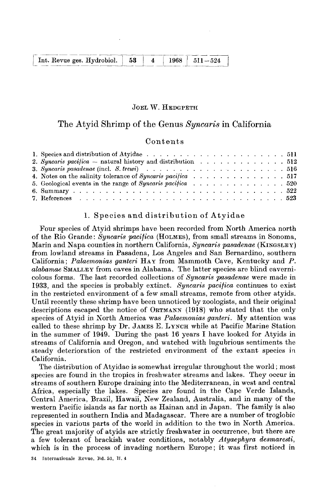| Int. Revue ges. Hydrobiol.   53 | 4 | $1968$   $511 - 524$ |
|---------------------------------|---|----------------------|

#### JOEL **W.** HEDCPETH

# The Atyid Shrimp of the Genus *Xyncaris* in California

## Contents

| 2. Syncaris pacifica – natural history and distribution $\ldots \ldots \ldots \ldots \ldots 512$ |  |  |  |  |  |  |  |
|--------------------------------------------------------------------------------------------------|--|--|--|--|--|--|--|
|                                                                                                  |  |  |  |  |  |  |  |
|                                                                                                  |  |  |  |  |  |  |  |
| 5. Geological events in the range of Syncaris pacifica $\ldots$ , 520                            |  |  |  |  |  |  |  |
|                                                                                                  |  |  |  |  |  |  |  |
|                                                                                                  |  |  |  |  |  |  |  |

### 1. Species and distribution of Atyidae

Four species of Atyid shrimps have been recorded from North America north of the Rio Grande: *Syncaris pacifica* (HOLMES), from small streams in Sonoma, Marin and Napa counties in northern California, *Syncaris pasadenae* **(KINGSLEY)**  from lowland streams in Pasadena, Los Angeles and San Bernardino, southern California; *Palaemonias ganteri* HAY from Mammoth Cave, Kentucky and *P. alabamae* SMALLEY from caves in Alabama. The latter species are blind cavernicolous forms. The last recorded collections of *Syncaris pasadenae* were made in 1933, and the species is probably extinct. *Xyncaris pacifica* continues to exist in the restricted environment of a few small streams, remote from other atyids. Until recently these shrimp have been unnoticed by zoologists, and their original descriptions escaped the notice of ORTMANN (1918) who stated that the only species of Atyid in North America was *Palaemonias ganteri.* My attention was called to these shrimp by Dr. JAMES E. LYNCH while at Pacific Marine Station in the summer of 1949. During the past 16 years I have looked for Atyids in streams of California and Oregon, and watched with lugubrious sentiments the steady deterioration of the restricted environment of the extant species in California.

The distribution of Atyidae is somewhat irregular throughout the world; mosl species are found in the tropics in freshwater streams and lakes. They occur in streams of southern Europe draining into the Mediterranean, in west and central Africa, especially the lakes. Species are found in the Cape Verde Islands, Central America, Brazil, Hawaii, New Zealand, Australia, and in many of the western Pacific islands as far north as Hainan and in Japan. The family is also represented in southern India and Madagascar. There are a number of troglobic species in various parts of the world in addition to the two in North America. The great majority of atyids are strictly freshwater in occurrence, but there are a few tolerant of brackish water conditions, notably *Atyaephyra desmaresti,*  which is in the process of invading northern Europe; it was first noticed in

34 Tnternationale Revue, Bd. 53, H. **4**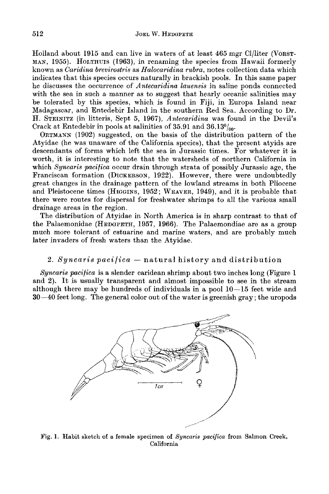Holland about **1915** and can live in waters of at least **465** mgr Cl/liter **(VORST-**MAN, **1955).** HOLTHUIS **(1963),** in renaming the species from Hawaii formerly known as *Caridina brevirostris* as *Halocaridina rubra,* notes collection data which indicates that this species occurs naturally in brackish pools. In this same paper he discusses the occurrence of *Antecaridina luuensis* in saline ponds connected with the sea in such a manner as to suggest that hearly oceanic salinities may be tolerated by this species, which is found in Fiji, in Europa Island near Madagascar, and Entedebir Island in the southern Red Sea. According to Dr. H. STEINITZ (in litteris, Sept **5, 1967),** *Antecaridina* was found in the Devil's Crack at Entedebir in pools at salinities of **35.91** and **36.130/,0.** 

ORTMANN **(1902)** suggested, on the basis of the distribution pattern of the Atyidae (he was unaware of the California species), that the present atyids are descendants of forms which left the sea in Jurassic times. For whatever it is worth, it is interesting to note that the watersheds of northern California in which *Syncaris pacifica* occur drain through strata of possibly Jurassic age, the Franciscan formation (DICKERSON, **1922).** However, there were undoubtedly great changes in the drainage pattern of the lowland streams in both Pliocene and Pleistocene times (HIGGINS, **1952;** WEAVER, **1949),** and it is probable that there were routes for dispersal for freshwater shrimps to all the various small drainage areas in the region.

The distribution of Atyidae in North America is in sharp contrast to that of the Palaemonidae (HEDGPETH, **1957, 1966).** The Palaemondiae are as a group much more tolerant of estuarine and marine waters, and are probably much later invaders of fresh waters than the Atyidae.

## **2.** *Syncaris pacificu* - natural hiatory and distribution

*Syncaris pacifica* is a slender caridean shrimp about two inches long (Figure **1**  and **2).** It is usually transparent and almost impossible to see in the stream although there may be hundreds of individuals in a pool **10-15** feet wide and **30-40** feet long. The general color out of the water is greenish gray; the uropods



**Fig. 1. Habit sketch of a female specimen of** *Syncaris pacifica* **from Salmon Creek, California**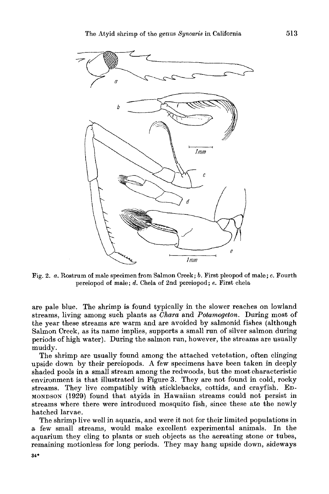

Big. **2.** *a.* Rostrum of male specimen from Salmon Creek; *b.* First pleopod of male; **c. Fourth**  pereiopod **of** male; *d.* Chela of 2nd pereiopod; **e.** First chela

are pale blue. The shrimp is found typically in the slower reaches on lowland streams, living among such plants as *Chara* and *Potamogeton.* During most of the year these streams are warm and are avoided by salmonid fishes (although Salmon Creek, as its name implies, supports a small run of silver salmon during periods of high water). During the salmon run, however, the streams are usually muddy.

The shrimp are usually found among the attached vetetation, often clinging upside down by their pereiopods. **A** few specimens have been taken in deeply shaded pools in a small stream among the redwoods, but the most characteristic environment is that illustrated in Figure 3. They are not found in cold, rocky streams. They live compatibly with sticklebacks, cottids, and crayfish. En-**MONDSON (1929)** found that atyids in Hawaiian streams could not persist in streams where there were introduced mosquito fish, since these ate the newly hatched larvae.

The shrimp live well in aquaria, and were it not for their limited populations in a few small streams, would make excellent experimental animals. In the aquarium they cling to plants or such objects as the aereating stone or tubes, remaining motionless for long periods. They may hang upside down, sideways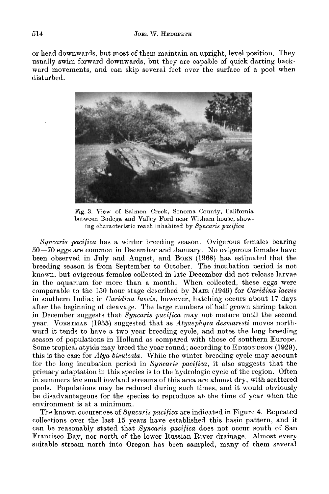**or** head downwards, but most of them maintain an upright, level position. They usually swim forward downwards, but they are capable of quick darting backward movements, and can skip several feet over the surface of a pool when disturbed.



Fig. **3.** View **of** Salmon Creek, Sonoma County, California between Bodega and Valley Ford near Witham house, showing characteristic reach inhabited by *Syncaris pacifico* 

*Syncaris pacifica* has a winter breeding season. Ovigerous females bearing **50-70** eggs are common in December and January. No ovigerous females have been observed in July and August, and BORN (1968) has estimated that the breeding season is from September to October. The incubation period is not known, but ovigerous females collected in late December did not release larvae in the aquarium for more than a month. When collected, these eggs were comparable to the 150 hour stage described by **NAIR** (1949) for *Caridina laevis*  in southern India; in *Caridina laevis,* however, hatching occurs about **17** days after the beginning of cleavage. The large numbers of half grown shrimp taken in December suggests that *Syncaris pacifica* may not mature until the second year. VORSTMAN (1955) suggested that as *Atyaephyra desmaresti* moves northward it tends to have a two year breeding cycle, and notes the long breeding season of populations in Holland as compared with those of southern Europe. Some tropical atyids may breed the year round; according to EDMONDSON **(1929),**  this is the case for *Atya bisulcata.* While the winter breeding cycle may account for the long incubation period in *Syncaris pacifica*, it also suggests that the primary adaptation in this species is to the hydrologic cycle of the region. Often in summers the small lowland streams of this area are almost dry, with scattered pools. Populations may be reduced during such times, and it would obviously be disadvantageous for the species to reproduce at the time of year when the environment is at a minimum.

The known occurences of *Syncaris pacifica* are indicated in Figure **4.** Repeated collections over the last 15 years have established this basic pattern, and it can be reasonably stated that *Syncaris pacifica* does not occur south of San Francisco Bay, nor north of the lower Russian River drainage. Almost every suitable stream north into Oregon has been sampled, many of them several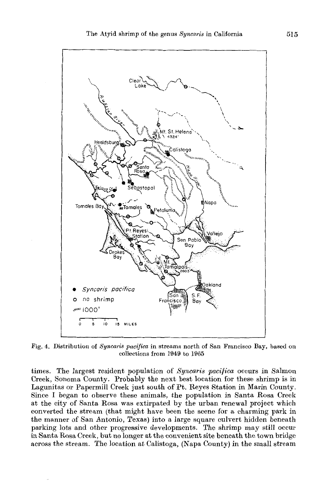

**Fig. 4.** Distribution **of** Syncaris *pacqica* in streams north of San Francisco Bay, based on collections from 1949 to 1965

times. The largest resident population of *Syncaris pacifica* occurs in Salmon Creek, Sonoma County. Probably the next best location for these shrimp is in Lagunitas or Papermill Creek just south of Pt. Reyes Station in Marin County. Since I began to observe these animals, the population in Santa Rosa Creek at the city of Santa Rosa was extirpated by the urban renewal project which converted the stream (that might have been the scene for a charming park in the manner of San Antonio, Texas) into a large square culvert hidden beneath parking lots and other progressive developments. The shrimp may still occur in Santa Rosa **Creek,** but no longer at the convenient site beneath the town bridge across the stream. The location at Calistoga, (Napa County) in the small stream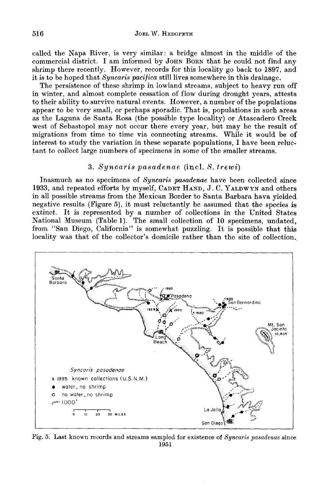called the Napa River, is very similar: a bridge almost in the middle of the commercial district. I am informed by JOHN BORN that he could not find any shrimp there recently. However, records for this locality go back to 1897, and it is to be hoped that *Syncaris pacifica* still lives somewhere in this drainage.

The persistence of these shrimp in lowland streams, subject to heavy run off in winter, and almost complete cessation of flow during drought years, attests to their ability to survive natural events. However, a number of the populations appear to be very small, or perhaps sporadic. That is, populations in such areas as the Laguna de Santa Rosa (the possible type locality) or Atascadero Creek west of Sebastopol may not occur there every year, but may be the result of migrations from time to time via connecting streams. While it would be of interest to study the variation in these separate populations, I have been reluctant to collect large numbers of specimens in some of the smaller streams.

## **3.** *Syncaris pasadenae* (incl. *S. trewi)*

Inasmuch as no specimens of *Xyncaris pasadenae* have been collected since 1933, and repeated efforts by myself, CADET HAND, J. C. YALDWYN and others in all possible streams from the Mexican Border to Santa Barbara hava yielded negative results (Figure **a),** it must reluctantly be assumed that the species is extinct. It is represented by a number of collections in the United States National Museum (Table **1).** The small collection of 10 specimens, undated, from "San Diego, California" is somewhat puzzling. It is possible that this locality was that of the collector's domicile rather than the site of collection.



Fig. 6. Last known records **and** streams sampled for existence **of** *Syncaris pasadenae* since **1951**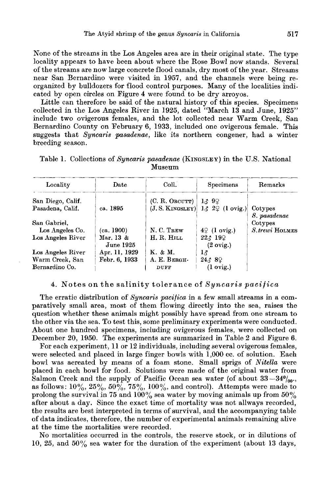None of the streams in the Los Angeles area are in their original state. The type locality appears to have been about where the Rose Bowl now stands. Several of the streams are now large concrete flood canals, dry most of the year. Streams near San Bernardino were visited in **1957,** and the channels were being reorganized by bulldozers for flood control purposes. Many of the localities indicated by open circles on Figure **4** were found to be dry arroyos.

Little can therefore be said of the natural history of this species. Specimens collected in the Los Angeles River in **1925,** dated "March **13** and June, **1925"**  include two ovigerous females, and the lot collected near Warm Creek, San Bernardino County on February **6, 1933,** included one ovigerous female. This suggests that *Syncaris pasadenae,* like its northern congener, had a winter breeding season.

| Locality          | Date          | Coll.               | Specimens                                                              | Remarks         |
|-------------------|---------------|---------------------|------------------------------------------------------------------------|-----------------|
| San Diego, Calif. |               | $(C. R.$ Orcurr $)$ | 13.99                                                                  |                 |
| Pasadena, Calif.  | ca. 1895      |                     | (J. S. KINGSLEY) $1\delta$ 2 <sup><math>\varphi</math></sup> (1 ovig.) | Cotypes         |
|                   |               |                     |                                                                        | S. pasadenae    |
| San Gabriel,      |               |                     |                                                                        | Cotypes         |
| Los Angeles Co.   | (ca. 1900)    | N. C. TREW          | $4\sqrt{2}$ (1 ovig.)                                                  | S. trewi HOLMES |
| Los Angeles River | Mar. 13 &     | H. R. HILL          | 223192                                                                 |                 |
|                   | June 1925     |                     | $(2 \text{ ovig.})$                                                    |                 |
| Los Angeles River | Apr. 11, 1929 | K. & M.             | $1_{\alpha}$                                                           |                 |
| Warm Creek, San   | Febr. 6, 1933 | A. E. BERGH-        | 24389                                                                  |                 |
| Bernardino Co.    |               | DUFF                | $(1 \text{ ovig.})$                                                    |                 |

Table **1.** Collections of *Syncaris pasadenae* **(KINGSLEY)** in the **U.S.** National \_\_\_\_\_\_~ - - \_\_ Museum

### **4.** Notes on the salinity tolerance of *Syncaris pacifica*

The erratic distribution of *Syncaris pacifica* in a few small streams in a comparatively small area, most of them flowing directly into the sea, raises the question whether these animals might possibly have spread from one stream to the other via the sea. To test this, some preliminary experiments were conducted. About one hundred specimens, including ovigerous females, were collected on December **20, 1950.** The experiments are summarized in Table *2* and Figure *6.* 

For each experiment, **11** or **12** individuals, including several ovigerous females, were selected and placed in large finger bowls with **1,000** cc. of solution. Each bowl was aereated by means of a foam stone. Small sprigs of *Nitella* were placed in each bowl for food. Solutions were made of the original water from Salmon Creek and the supply of Pacific Ocean sea water (of about  $33-340/00$ . as follows:  $10\%, 25\%, 50\%, 75\%, 100\%, \text{ and control}$ . Attempts were made to prolong the survival in **75** and **lOOyo** sea water by moving animals up from **50%**  after about a day. Since the exact time of mortality was not allways recorded, the results are best interpreted in terms of survival, and the accompanying table of data indicates, therefore, the number of experimental animals remaining alive at the time the mortalities were recorded.

No mortalities occurred in the controls, the reserve stock, or in dilutions of **10, 25,** and **50%** sea water for the duration of the experiment (about **13** days,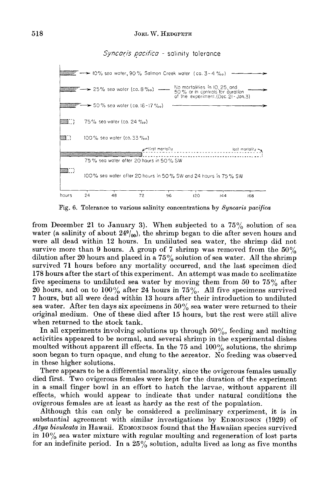*Syncaris puc/ficu* - salinity tolerance



Fig. **6.** Tolerance to various salinity concentrations by *Syncaris pacifica* 

from December 21 to January 3). When subjected to a **75%** solution of sea water (a salinity of about  $24\frac{0}{00}$ ), the shrimp began to die after seven hours and were all dead within **12** hours. In undiluted sea water, the shrimp did not survive more than 9 hours. A group of **7** shrimp was removed from the *50%*  dilution after **20** hours and placed in a **75%** solution of sea water. All the shrimp survived **71** hours before any mortality occurred, and the last specimen died **178** hours after the start of this experiment. An attempt was made to acclimatize five specimens to undiluted sea water by moving them from 50 to  $75\%$  after **20** hours, and on to lOOyo after 24 hours in **75%.** All five specimens survived **7** hours, but all were dead within 13 hours after their introduction to undiluted sea water. After ten days six specimens in *50%* sea water were returned to their original medium. One of these died after **15** hours, but the rest were still alive when returned to the stock tank.

In all experiments involving solutions up through *50%,* feeding and molting activities appeared to be normal, and several shrimp in the experimental dishes moulted without apparent ill effects. In the 75 and 100% solutions, the shrimp soon began to turn opaque, and clung to the aereator. No feeding was observed in these higher solutions.

There appears to be a differential morality, since the ovigerous females usually died first. Two ovigerous females were kept for the duration of the experiment in a small finger bowl in an effort to hatch the larvae, without apparent ill effects, which would appear to indicate that under natural conditions the ovigerous females are at least as hardy as the rest of the population.

Although this can only be considered a preliminary experiment, it is in substantial agreement with similar investigations by EDMONDSON (1929) of Atya *bisulcata* in Hawaii. **EDMONDSON** found that the Hawaiian species survived in  $10\%$  sea water mixture with regular moulting and regeneration of lost parts for an indefinite period. In a **25%** solution, adults lived as long as five months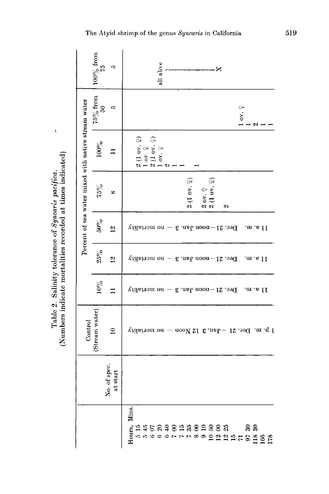| tolerance of S<br>e mortalitie<br>í,<br>. Salinity<br>sindicate.<br>Table 2.<br>m her |     | mdinator            |
|---------------------------------------------------------------------------------------|-----|---------------------|
|                                                                                       | um. | s recorded at times |

 $\bar{k}$ 

|                                                     | $100\%$ from<br>75 | 10                           | all alive<br>×                                                                                                                     |
|-----------------------------------------------------|--------------------|------------------------------|------------------------------------------------------------------------------------------------------------------------------------|
|                                                     | $75\%$ from<br>S   | ı0                           | ov. $\frac{\circ}{\cdot}$<br>ત્ર .                                                                                                 |
| Percent of sea water mixed with native stream water | 100%               |                              | ନ<br>ନ<br>$\frac{1}{2}$<br>$\frac{1}{2}$<br>$\frac{1}{2}$<br>$\frac{1}{2}$<br>$\frac{1}{2}$<br>$\frac{1}{2}$<br>$\frac{1}{2}$<br>N |
|                                                     | $75\%$             | ∞                            | $(1 \text{ or } 4)$<br>ଙ୍କ<br>$\frac{1}{2}$ ov. $\frac{1}{2}$<br>$\alpha$<br>۵J<br>e1                                              |
|                                                     | $50\%$             | $\overline{\mathbf{c}}$      | Dec. 21-noon Jan. 3 - no mortality<br>Il a. m.                                                                                     |
|                                                     | $25\%$             | $\overline{\mathbf{c}}$      | Dec. 21—noon Jan. 3 — no mortality<br>II a. m.                                                                                     |
|                                                     | $10\%$             |                              | Dec. 21-noon Jan. 3 - no mortality<br>Il a. m.                                                                                     |
| Control                                             | (Stream water)     | $\mathbf{r}$                 | 1 p.m. Dec. 21 - Jan. 3 12 Noon - no mortality                                                                                     |
|                                                     |                    | o. of spec.<br>at start<br>ž |                                                                                                                                    |
|                                                     |                    |                              |                                                                                                                                    |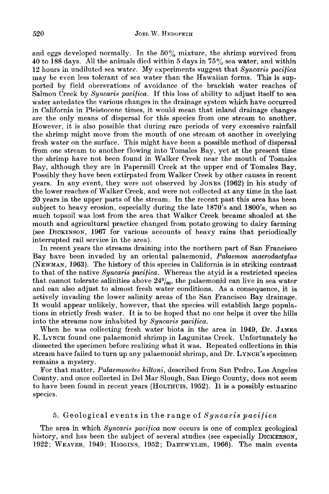and eggs developed normally. In the *50%* mixture, the shrimp survived from **10** to 188 days. All the animals died within 5 days in **75o/b** sea water, and within 12 hours in undiluted sea water. My experiments suggest that *Syncaris pacifica*  may be even less tolerant of sea water than the Hawaiian forms. This is supported by field obersvations of avoidance of the brackish water reaches of Salmon Creek by *Syncaris pacifica.* If this loss of ability to adjust itself to sea water antedates the various changes in the drainage system which have occurred in California in Pleistocene times, it would mean that inland drainage changes are the only means of dispersal for this species from one stream to another. However, it is also possible that during rare periods of very excessive rainfall the shrimp might move from the mouth of one stream ot another in overlying fresh water on the surface. This might have been a possible method of dispersal from one stream to another flowing into Tomales Bay, yet at the present time the shrimp have not been found in Walker Creek near the mouth of Tomales Bay, although they are in Papermill Creek at the upper end of Tomales Bay. Possibly they have been extirpated from Walker Creek by other causes in recent years. In any event, they were not observed by JONES (1962) in his study of the lower reaches of Walker Creek, and were not collected at any time in the last 20 years in the upper parts of the stream. In the recent past this area has been subject to heavy erosion, especially during the late 1870's and 1800's, when so much topsoil was lost from the area that Walker Creek became shoaled at the mouth and agricultural practice changed from potato growing to dairy farming (see DICKINSON, 1967 for various accounts of heavy rains that periodically interrupted rail service in the area).

In recent years the streams draining into the northern part of San Francisco Bay have been invaded by an oriental palaemonid, *Pabemon macrodactylus*  (NEWMAN, 1963). The history of this species in California is in striking contrast to that of the native *Syncaris pacifica.* Whereas the atyid is a restricted species that cannot tolerate salinities above  $24\%$ <sub>00</sub>, the palaemonid can live in sea water and can also adjust to almost fresh water conditions. As a consequence, it is actively invading the lower salinity areas of the San Francisco Bay drainage. It would appear unlikely, however, that the species will establish large populations in strictly fresh water. It is to be hoped that no one helps it over the hills into the streams now inhabited by *Syncaris pacifica.* 

When he was collecting fresh water biota in the area in 1949, Dr. JAMES E. LYNCH found one palaemonid shrimp in Lagunitas Creek. Unfortunately he dissected the specimen before realizing what it was. Repeated collections in this stream have failed to turn up any palaemonid shrimp, and Dr. LYNCH'S specimen remains a mystery.

For that matter, *Palaemonetes hiltoni,* described from San Pedro, Los Angeles County, and once collected in Del Mar Slough, San Diego County, does not seem to have been found in recent years **(HOLTHUIS,** 1952). It is a possibly estuarine species.

### 5. Geological events in the range of *Syncaris pacifica*

The area in which *Syncaris pacifica* now occurs is one of complex geological history, and has been the subject of several studies (see especially DICKERSON, 1922; WEAVER, 1949; HIGGINS, 1952; DAETWYLER, 1966). The main events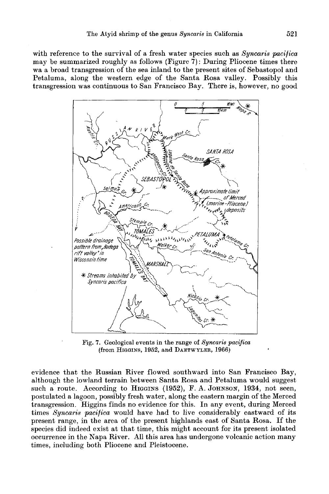with reference to the survival of a fresh water species such **as** *Syncaris pacifica*  may be summarized roughly as follows (Figure **7)** : During Pliocene times there wa a broad transgression of the sea inland to the present sites of Sebastopol and Petaluma, along the western edge of the Santa Rosa valley. Possibly this transgression was continuous to San Francisco Bay. There is, however, no good



**Fig. 7. Geological events in the range of** *Syncaris pacifica*  (from **HIGGINS, 1952, and DAETWYLER, 1966)** 

evidence that the Russian River flowed southward into San Francisco Bay, although the lowland terrain between Santa Rosa and Petaluma would suggest such a route. According to **HIGGINS (1952),** F. A. **JOHNSON, 1934,** not seen, postulated a lagoon, possibly fresh water, along the eastern margin of the Merced transgression. Higgins finds no evidence for this. In any event, during Merced times *Syncaris pueificu* would have had to live considerably eastward of its present range, in the area of the present highlands east of Santa Rosa. If the species did indeed exist at that time, this might account for its present isolated occurrence in the Napa River. All this area has undergone volcanic action many times, including both Pliocene and Pleistocene.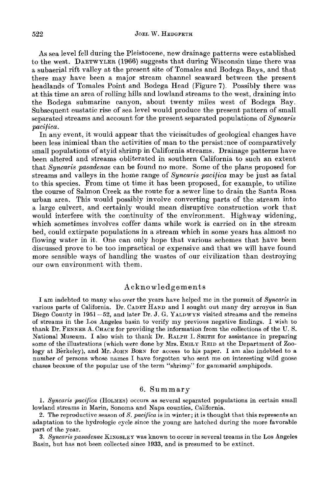**As** sea level fell during the Pleistocene, new drainage patterns were established to the west. DAETWYLER **(1966)** suggests that during Wisconsin time there was a subaerial rift valley at the present site of Tomales and Bodega Bays, and that there may have been a major stream channel seaward between the present headlands of Tomales Point and Bodega Head (Figure **7).** Possibly there was at this time an area of rolling hills and lowland streams to the west, draining into the Bodega submarine canyon, about twenty miles west of Bodega Bay. Subsequent eustatic rise of sea level would produce the present pattern of small separated streams and account for the present separated populations of *Syncaris pacifica.* 

In any event, it would appear that the vicissitudes of geological changes have been less inimical than the activities of man to the persistence of comparatively small populations of atyid shrimp in California streams. Drainage patterns have been altered and streams obliterated in southern California to such an extent that *Syncaris pasadenae* can be found no more. Some of the plans proposed for streams and valleys in the home range of *Syncaris pacifica* may be just as fatal to this species. From time ot time it has been proposed, for example, to utilize the course of Salmon Creek as the route for a sewer line to drain the Santa Rosa urban area. This would possibly involve converting parts of the stream into a large culvert, and certainly would mean disruptive construction work that would interfere with the continuity of the environment. Highway widening, which sometimes involves coffer dams while work is carried on in the stream bed, could extirpate populations in a stream which in some years has almost no flowing water in it. One can only hope that various schemes that have been discussed prove to be too impractical or expensive and that we will have found more sensible ways of handling the wastes of our civilization than destroying our own environment with them.

### **Acknowledgements**

I am indebted to many who over the years have helped me in the pursuit of *Syncaris* in various parts of California. Dr. CADET **HAND** and **I** sought out many dry arroyos in San Diego County in **1951** *-52,* and later Dr. **J. G. YALDWYN** visited streams and the remeins of streams in the Los Angeles basin to verify my previous negative findings. I wish to thank Dr. **FENNER A. CHACE** for providing the information from the collections of the **U.** S. National Museum. I also wish to thank Dr. RALPH I. **SMITH** for assistance in preparing some of the illustrations (which were done by Mrs. **EMILY REID** at the Department of Zoology at Berkeley), and Mr. JOHN BORN for access to his paper. I am also indebted to a number of persons whose names I have forgotten who sent me on interesting wild goose chases because of the popular use of the term "shrimp" for gammarid amphipods.

### **6.** Summary

**1.** *Syncaris pacifica* **(HOLMES)** occurs as several separated populations in certain small lowland streams in Marin, Sonoma and Napa counties, California.

*2.* The reproductive season of *S. pacifica* is in winter; it is thought that this represents an adaptation to the hydrologic cycle since the young are hatched during the more favorable part of the year.

**3.** *Syncarispasadenae* **KINGSLEY** was known to occur in several treams in the Los Angeles Basin, but has not been collected since **1933,** and is presumed to be extinct.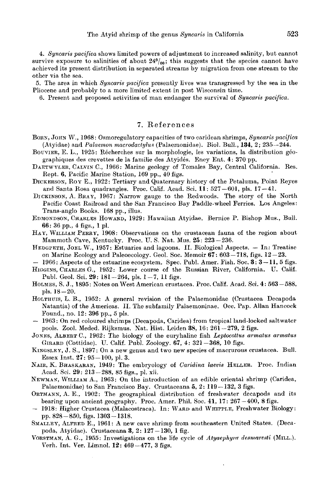**4.** *Syncaris pacifica* shows limited powers of adjustment to increased salinity, but cannot survive exposure to salinities of about  $24\frac{o}{o}$ ; this suggests that the species cannot have achieved its present distribution in separated streams by migration from one stream to the other via the sea.

*5.* The area in which *Syncaris pacifica* presently lives was transgressed by the sea in the Pliocene and probably to a more limited extent in post Wisconsin time.

**6.** Present and proposed activities of man endanger the survival of *Syncaris pacifica.* 

## **7.** References

- BORN, JOHN **W., 1968** : Osmoregulatory capacities of two caridean shrimps, *Syncaris pacijica*  (Atyidae) and *Palaemon macrodactyhs* (Palaemonidae). Biol. Bull., **134, 2; 235-244.**
- BOUVIER, E. L., 1925: Récherches sur la morphologie, les variations, la distribution géographiques des crevettes de la familie des Atyides. Ency Ent. **4: 370** pp.
- DAETWYLER, CALVIN C., **1966:** Marine geology of Tomales Bay, Central California. Res. Rept. **6,** Pacific Marine Station, **169** pp., **40** figs.
- DICKERSON, ROY E., **1922:** Tertiary and Quaternary history of the Petaluma, Point Reyes and Santa Rosa quadrangles. Proc. Calif. Acad. Sci. **11: 527-601,** pls. **17-41.**
- DICKINSON, **A.** BRAY, **1967:** Narrow gauge to the Redwoods. The story of the North Pacific Coast Railroad and the *San* Francisco Bay Paddle-wheel Ferries. Los Angeles: Trans-anglo Books. **168** pp., illus.
- EDMONDSON, CHARLES HOWARD, **1929** : Hawaiian Atyidae. Bernice P. Bishop Mus., Bull. **66: 36** pp., **4** figs., **1** pl.
- HAY, WILLIAM PERRY, **1908:** Observations on the crustacean fauna of the region about Mammoth Cave, Kentucky. Proc. **U.** S. Nat. Mus. **25: 223-236.**
- HEDGPETH, JOEL W., **1957:** Estuaries and lagoons. **11.** Biological Aspects. In: Treatise on Marine Ecology and Paleoecology. Geol. Soc. Memoir **67: 603-718,** figs. **12-23.**
- **1966:** Aspects of the estuarine ecosystem. Spec. Publ. Amer. Fish. Soc. **3: 3- 11,5** figs. HIGCINS, CHARLES G., **1952:** Lower course of the Russian River, California. U. Calif. Publ. Geol. Sci. **29: 181-264,** pls. **1-7, 11** figs.
- HOLMES, S. J., **1895:** Notes on West American crustacea. Proc. Calif. Acad. Sci. **4: 563-588,**  pls.  $18 - 20$ .
- HOLTHUIS, **L.** B., **1952:** A general revision of the Palaemonidae (Crustacea Decapoda Natantia) **of** the Americas. 11. The subfamily Palaemoninae. Occ. Pap. Allan Hancock Found., no. **12: 396** pp., **5** pls.
- **1963:** On red coloured shrimps (Decapoda, Caridea) from tropical land-locked saltwater pools. Zool. Meded. Rijksmus. Nat. Hist. Leiden **38, 16: 261-279, 2** figs.
- JONES, ALBERT C., **1962:** The biology of the euryhaline fish *Leptocottue armatus armatus*  GIRARD (Cottidae). U. Calif. Publ. Zoology. **67, 4: 321-368, 10** figs.
- KINGSLEY, **J.** S., **1897:** On a new genus and two new species **of** macrurous crustacea. Bull. Essex Inst. **27: 95-100,** pl. **3.**
- NAIR, K. BHASKARAN, 1949: The embryology of *Caridina laevis* HELLER. Proc. Indian Acad. Sci. **29: 213-288, 85** figs., pl. xii.
- **NEWMAN,** WILLIAM A., **1963:** On the introduction of an edible oriental shrimp (Caridea, Palaemonidae) to San Francisco Bay. Crustaceana **5, 2: 119-132, 3** figs.
- ORTMANN, **A.** E., **1902** : The geographical distribution of freshwater decapods and its bearing upon ancient geography. Proc. Amer. Phil. Soc. 41, 17: 267 -400, 8 figs. - 1918: Higher Crustacea (Malacostraca). In: WARD and WHIPPLE, Freshwater Biology:
- pp. **828-850,** figs. **1303-1318.**
- SMALLEY, ALFRED E., **1961: A** new cave shrimp from southeastern United States. (Decapoda, Atyidae). Crustaceana **3, 2: 127-130, l** fig.
- VORSTMAN, A. G., 1955: Investigations on the life cycle of *Atyaephyra desmaresti* (MILL.). Verh. Int. Ver. Limnol. **12: 469-477, 3** figs.